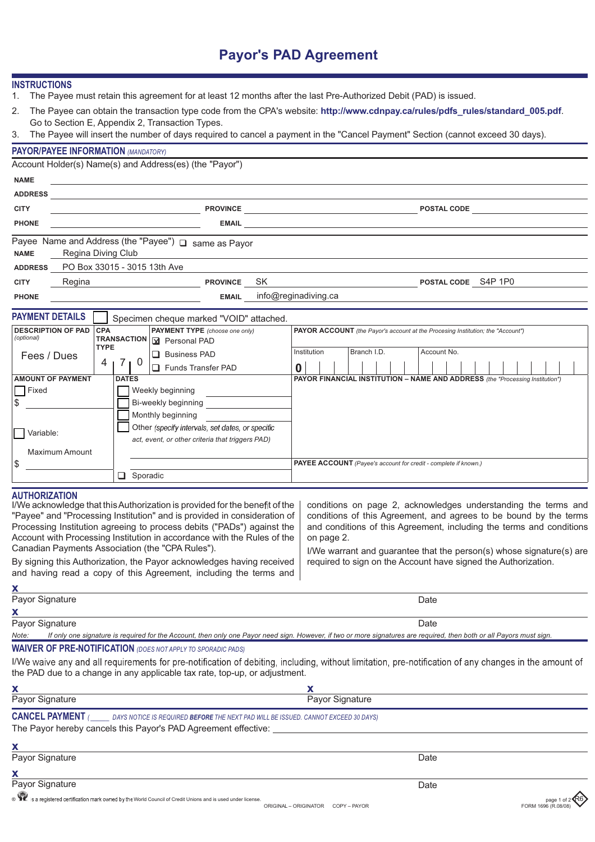# **Payor's PAD Agreement**

| INSTRUCTIONS |  |  |
|--------------|--|--|

- 1. The Payee must retain this agreement for at least 12 months after the last Pre-Authorized Debit (PAD) is issued.
- 2. The Payee can obtain the transaction type code from the CPA's website: **http://www.cdnpay.ca/rules/pdfs\_rules/standard\_005.pdf**. Go to Section E, Appendix 2, Transaction Types.
- 3. The Payee will insert the number of days required to cancel a payment in the "Cancel Payment" Section (cannot exceed 30 days).

|                                         | <b>PAYOR/PAYEE INFORMATION (MANDATORY)</b> |             |              |                                                                                                                  |              |                                                                                        |  |             |                     |                                      |             |  |  |  |
|-----------------------------------------|--------------------------------------------|-------------|--------------|------------------------------------------------------------------------------------------------------------------|--------------|----------------------------------------------------------------------------------------|--|-------------|---------------------|--------------------------------------|-------------|--|--|--|
|                                         |                                            |             |              | Account Holder(s) Name(s) and Address(es) (the "Payor")                                                          |              |                                                                                        |  |             |                     |                                      |             |  |  |  |
| <b>NAME</b>                             |                                            |             |              |                                                                                                                  |              |                                                                                        |  |             |                     |                                      |             |  |  |  |
| <b>ADDRESS</b>                          |                                            |             |              |                                                                                                                  |              |                                                                                        |  |             |                     |                                      |             |  |  |  |
| <b>CITY</b>                             |                                            |             |              | <u> 1989 - Johann Barbara, martin eta politikar</u>                                                              |              |                                                                                        |  |             |                     | POSTAL CODE <b>ACCEPT OF A STATE</b> |             |  |  |  |
| <b>PHONE</b>                            |                                            |             |              |                                                                                                                  |              |                                                                                        |  |             |                     |                                      |             |  |  |  |
| <b>NAME</b>                             | Regina Diving Club                         |             |              | Payee Name and Address (the "Payee") □ same as Payor                                                             |              |                                                                                        |  |             |                     |                                      |             |  |  |  |
| <b>ADDRESS</b>                          | PO Box 33015 - 3015 13th Ave               |             |              |                                                                                                                  |              |                                                                                        |  |             |                     |                                      |             |  |  |  |
| <b>CITY</b>                             | Regina<br><b>PROVINCE SK</b>               |             |              |                                                                                                                  |              |                                                                                        |  |             | POSTAL CODE S4P 1P0 |                                      |             |  |  |  |
| <b>PHONE</b>                            |                                            |             |              |                                                                                                                  | <b>EMAIL</b> | info@reginadiving.ca                                                                   |  |             |                     |                                      |             |  |  |  |
| <b>PAYMENT DETAILS</b>                  |                                            |             |              | Specimen cheque marked "VOID" attached.                                                                          |              |                                                                                        |  |             |                     |                                      |             |  |  |  |
| <b>DESCRIPTION OF PAD</b><br>(optional) |                                            | <b>CPA</b>  |              | <b>PAYMENT TYPE</b> (choose one only)<br>TRANSACTION   M Personal PAD                                            |              | <b>PAYOR ACCOUNT</b> (the Payor's account at the Procesing Institution; the "Account") |  |             |                     |                                      |             |  |  |  |
| Fees / Dues                             |                                            | <b>TYPE</b> |              |                                                                                                                  |              | $\Box$ Business PAD                                                                    |  | Institution | Branch I.D.         |                                      | Account No. |  |  |  |
|                                         |                                            |             | $4$   7   0  | Funds Transfer PAD                                                                                               |              | $\bf{0}$                                                                               |  |             |                     |                                      |             |  |  |  |
| $\Box$ Fixed<br>\$                      | <b>AMOUNT OF PAYMENT</b>                   |             | <b>DATES</b> | Weekly beginning<br>Bi-weekly beginning<br>Monthly beginning<br>Other (specify intervals, set dates, or specific |              | PAYOR FINANCIAL INSTITUTION - NAME AND ADDRESS (the "Processing Institution")          |  |             |                     |                                      |             |  |  |  |
| $\Box$ Variable:                        |                                            |             |              |                                                                                                                  |              |                                                                                        |  |             |                     |                                      |             |  |  |  |

|        |                | act, event, or other criteria that triggers PAD) |                                                                        |
|--------|----------------|--------------------------------------------------|------------------------------------------------------------------------|
|        | Maximum Amount |                                                  |                                                                        |
| ╓<br>Œ |                |                                                  | <b>PAYEE ACCOUNT</b> (Payee's account for credit - complete if known.) |
|        |                | Sporadic                                         |                                                                        |

### **AUTHORIZATION**

| Processing Institution agreeing to process debits ("PADs") against the                                                                                                                                                                                                                                                                                                                                                            | conditions on page 2, acknowledges understanding the terms and    |
|-----------------------------------------------------------------------------------------------------------------------------------------------------------------------------------------------------------------------------------------------------------------------------------------------------------------------------------------------------------------------------------------------------------------------------------|-------------------------------------------------------------------|
| and conditions of this Agreement, including the terms and conditions                                                                                                                                                                                                                                                                                                                                                              | conditions of this Agreement, and agrees to be bound by the terms |
| Account with Processing Institution in accordance with the Rules of the<br>on page 2.<br>Canadian Payments Association (the "CPA Rules").<br>I/We warrant and guarantee that the person(s) whose signature(s) are<br>required to sign on the Account have signed the Authorization.<br>By signing this Authorization, the Payor acknowledges having received<br>and having read a copy of this Agreement, including the terms and |                                                                   |

| X                         |      |
|---------------------------|------|
| Payor Signature           | Date |
| $\boldsymbol{\mathsf{x}}$ |      |
| Payor Signature           | Date |

*Note: If only one signature is required for the Account, then only one Payor need sign. However, if two or more signatures are required, then both or all Payors must sign.*

## **WAIVER OF PRE-NOTIFICATION** *(DOES NOT APPLY TO SPORADIC PADS)*

I/We waive any and all requirements for pre-notification of debiting, including, without limitation, pre-notification of any changes in the amount of the PAD due to a change in any applicable tax rate, top-up, or adjustment.

| х                                                              |                                                                                                            |    |
|----------------------------------------------------------------|------------------------------------------------------------------------------------------------------------|----|
| Payor Signature                                                | Payor Signature                                                                                            |    |
| The Payor hereby cancels this Payor's PAD Agreement effective: | <b>CANCEL PAYMENT</b> ( DAYS NOTICE IS REQUIRED BEFORE THE NEXT PAD WILL BE ISSUED. CANNOT EXCEED 30 DAYS) |    |
| х                                                              |                                                                                                            |    |
| Payor Signature                                                | Date                                                                                                       |    |
| х<br>Payor Signature                                           |                                                                                                            |    |
| 西                                                              | Date                                                                                                       | ∠∕ |